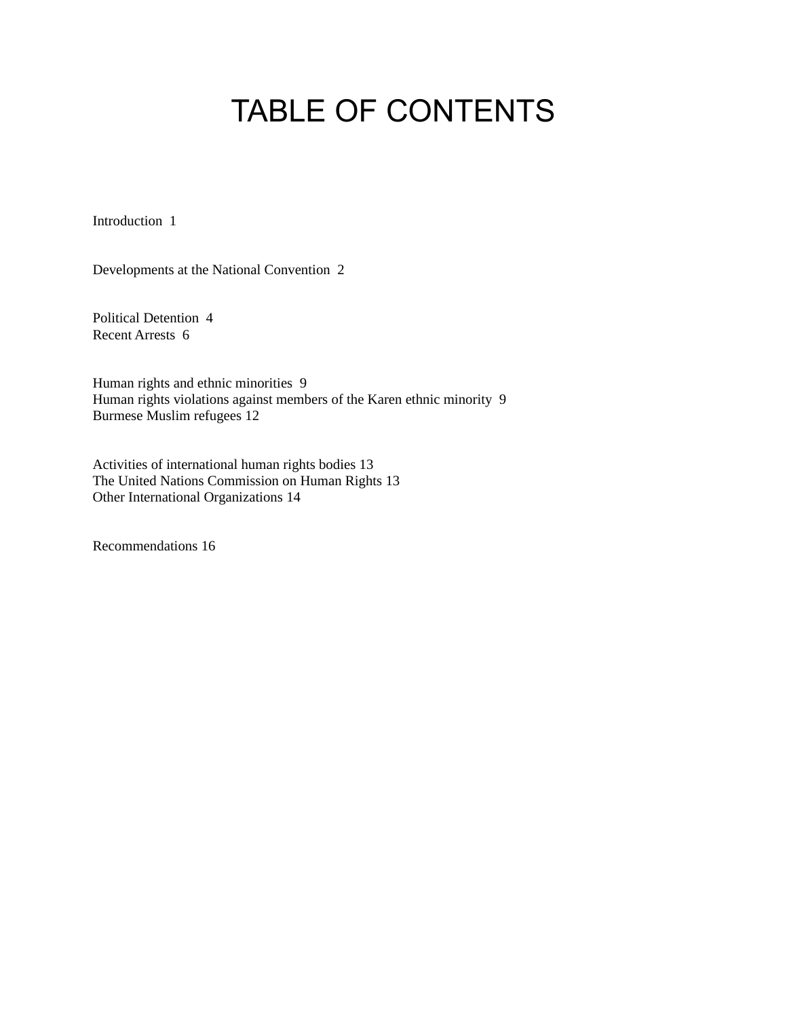# TABLE OF CONTENTS

Introduction 1

Developments at the National Convention 2

Political Detention 4 Recent Arrests 6

Human rights and ethnic minorities 9 Human rights violations against members of the Karen ethnic minority 9 Burmese Muslim refugees 12

Activities of international human rights bodies 13 The United Nations Commission on Human Rights 13 Other International Organizations 14

Recommendations 16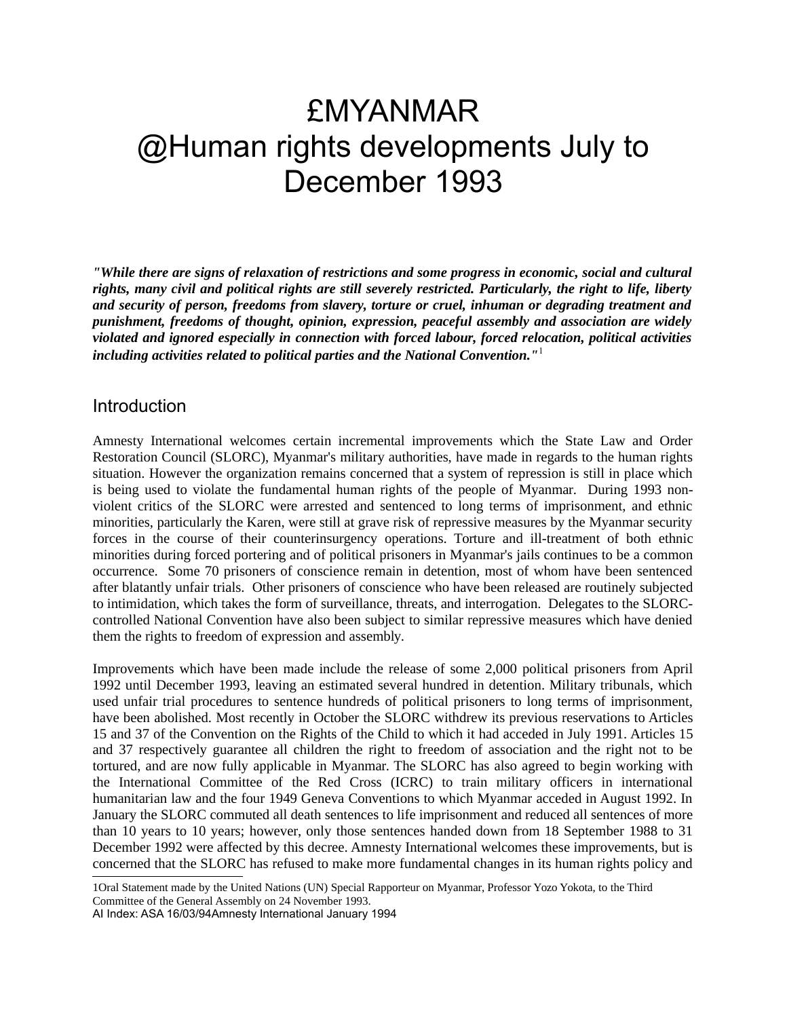## £MYANMAR @Human rights developments July to December 1993

*"While there are signs of relaxation of restrictions and some progress in economic, social and cultural rights, many civil and political rights are still severely restricted. Particularly, the right to life, liberty and security of person, freedoms from slavery, torture or cruel, inhuman or degrading treatment and punishment, freedoms of thought, opinion, expression, peaceful assembly and association are widely violated and ignored especially in connection with forced labour, forced relocation, political activities including activities related to political parties and the National Convention."*[1](#page-1-0)

#### **Introduction**

Amnesty International welcomes certain incremental improvements which the State Law and Order Restoration Council (SLORC), Myanmar's military authorities, have made in regards to the human rights situation. However the organization remains concerned that a system of repression is still in place which is being used to violate the fundamental human rights of the people of Myanmar. During 1993 nonviolent critics of the SLORC were arrested and sentenced to long terms of imprisonment, and ethnic minorities, particularly the Karen, were still at grave risk of repressive measures by the Myanmar security forces in the course of their counterinsurgency operations. Torture and ill-treatment of both ethnic minorities during forced portering and of political prisoners in Myanmar's jails continues to be a common occurrence. Some 70 prisoners of conscience remain in detention, most of whom have been sentenced after blatantly unfair trials. Other prisoners of conscience who have been released are routinely subjected to intimidation, which takes the form of surveillance, threats, and interrogation. Delegates to the SLORCcontrolled National Convention have also been subject to similar repressive measures which have denied them the rights to freedom of expression and assembly.

Improvements which have been made include the release of some 2,000 political prisoners from April 1992 until December 1993, leaving an estimated several hundred in detention. Military tribunals, which used unfair trial procedures to sentence hundreds of political prisoners to long terms of imprisonment, have been abolished. Most recently in October the SLORC withdrew its previous reservations to Articles 15 and 37 of the Convention on the Rights of the Child to which it had acceded in July 1991. Articles 15 and 37 respectively guarantee all children the right to freedom of association and the right not to be tortured, and are now fully applicable in Myanmar. The SLORC has also agreed to begin working with the International Committee of the Red Cross (ICRC) to train military officers in international humanitarian law and the four 1949 Geneva Conventions to which Myanmar acceded in August 1992. In January the SLORC commuted all death sentences to life imprisonment and reduced all sentences of more than 10 years to 10 years; however, only those sentences handed down from 18 September 1988 to 31 December 1992 were affected by this decree. Amnesty International welcomes these improvements, but is concerned that the SLORC has refused to make more fundamental changes in its human rights policy and

AI Index: ASA 16/03/94Amnesty International January 1994

<span id="page-1-0"></span><sup>1</sup>Oral Statement made by the United Nations (UN) Special Rapporteur on Myanmar, Professor Yozo Yokota, to the Third Committee of the General Assembly on 24 November 1993.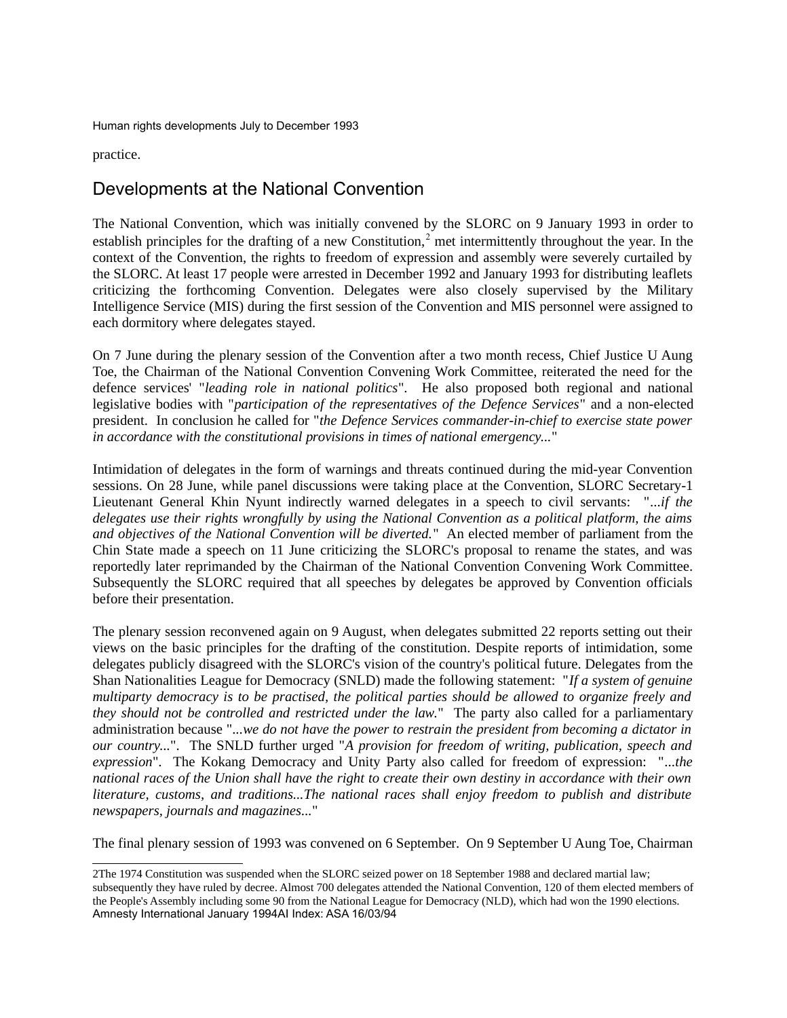practice.

## Developments at the National Convention

The National Convention, which was initially convened by the SLORC on 9 January 1993 in order to establish principles for the drafting of a new Constitution,<sup>[2](#page-2-0)</sup> met intermittently throughout the year. In the context of the Convention, the rights to freedom of expression and assembly were severely curtailed by the SLORC. At least 17 people were arrested in December 1992 and January 1993 for distributing leaflets criticizing the forthcoming Convention. Delegates were also closely supervised by the Military Intelligence Service (MIS) during the first session of the Convention and MIS personnel were assigned to each dormitory where delegates stayed.

On 7 June during the plenary session of the Convention after a two month recess, Chief Justice U Aung Toe, the Chairman of the National Convention Convening Work Committee, reiterated the need for the defence services' "*leading role in national politics*". He also proposed both regional and national legislative bodies with "*participation of the representatives of the Defence Services*" and a non-elected president. In conclusion he called for "*the Defence Services commander-in-chief to exercise state power in accordance with the constitutional provisions in times of national emergency...*"

Intimidation of delegates in the form of warnings and threats continued during the mid-year Convention sessions. On 28 June, while panel discussions were taking place at the Convention, SLORC Secretary-1 Lieutenant General Khin Nyunt indirectly warned delegates in a speech to civil servants: "*...if the delegates use their rights wrongfully by using the National Convention as a political platform, the aims and objectives of the National Convention will be diverted.*" An elected member of parliament from the Chin State made a speech on 11 June criticizing the SLORC's proposal to rename the states, and was reportedly later reprimanded by the Chairman of the National Convention Convening Work Committee. Subsequently the SLORC required that all speeches by delegates be approved by Convention officials before their presentation.

The plenary session reconvened again on 9 August, when delegates submitted 22 reports setting out their views on the basic principles for the drafting of the constitution. Despite reports of intimidation, some delegates publicly disagreed with the SLORC's vision of the country's political future. Delegates from the Shan Nationalities League for Democracy (SNLD) made the following statement: "*If a system of genuine multiparty democracy is to be practised, the political parties should be allowed to organize freely and they should not be controlled and restricted under the law.*" The party also called for a parliamentary administration because "*...we do not have the power to restrain the president from becoming a dictator in our country...*". The SNLD further urged "*A provision for freedom of writing, publication, speech and expression*". The Kokang Democracy and Unity Party also called for freedom of expression: "*...the national races of the Union shall have the right to create their own destiny in accordance with their own literature, customs, and traditions...The national races shall enjoy freedom to publish and distribute newspapers, journals and magazines...*"

The final plenary session of 1993 was convened on 6 September. On 9 September U Aung Toe, Chairman

<span id="page-2-0"></span><sup>2</sup>The 1974 Constitution was suspended when the SLORC seized power on 18 September 1988 and declared martial law; subsequently they have ruled by decree. Almost 700 delegates attended the National Convention, 120 of them elected members of the People's Assembly including some 90 from the National League for Democracy (NLD), which had won the 1990 elections. Amnesty International January 1994AI Index: ASA 16/03/94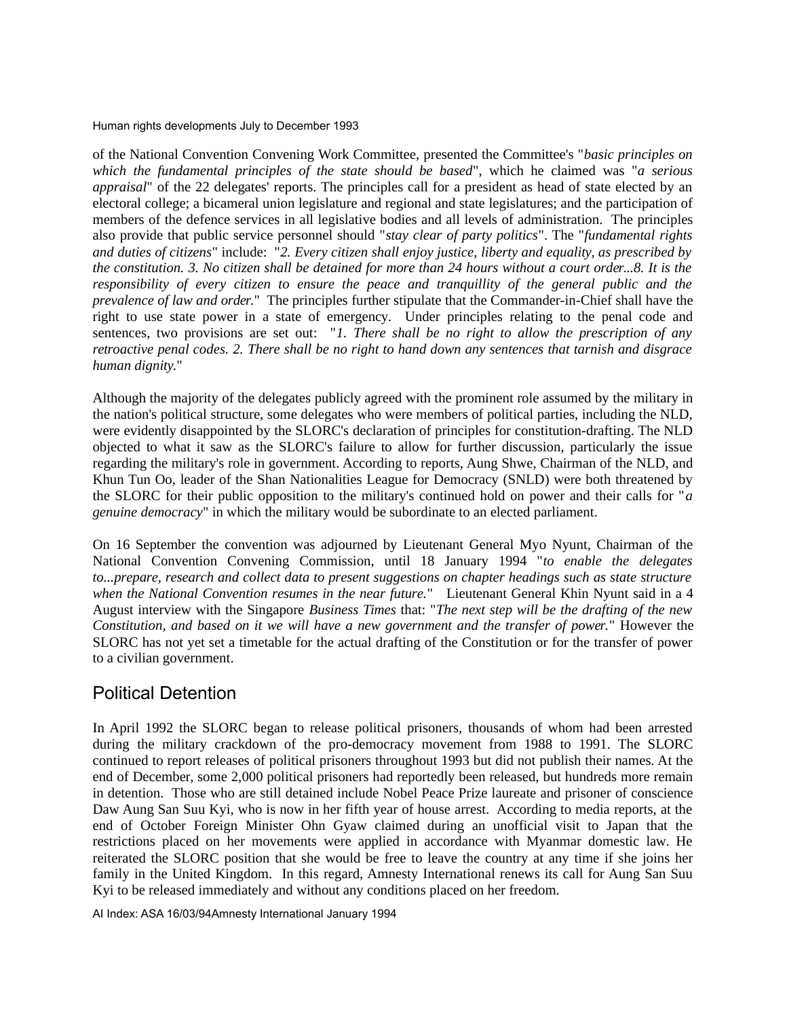of the National Convention Convening Work Committee, presented the Committee's "*basic principles on which the fundamental principles of the state should be based*", which he claimed was "*a serious appraisal*" of the 22 delegates' reports. The principles call for a president as head of state elected by an electoral college; a bicameral union legislature and regional and state legislatures; and the participation of members of the defence services in all legislative bodies and all levels of administration. The principles also provide that public service personnel should "*stay clear of party politics*". The "*fundamental rights and duties of citizens*" include: "*2. Every citizen shall enjoy justice, liberty and equality, as prescribed by the constitution. 3. No citizen shall be detained for more than 24 hours without a court order...8. It is the responsibility of every citizen to ensure the peace and tranquillity of the general public and the prevalence of law and order.*" The principles further stipulate that the Commander-in-Chief shall have the right to use state power in a state of emergency. Under principles relating to the penal code and sentences, two provisions are set out: "*1. There shall be no right to allow the prescription of any retroactive penal codes. 2. There shall be no right to hand down any sentences that tarnish and disgrace human dignity.*"

Although the majority of the delegates publicly agreed with the prominent role assumed by the military in the nation's political structure, some delegates who were members of political parties, including the NLD, were evidently disappointed by the SLORC's declaration of principles for constitution-drafting. The NLD objected to what it saw as the SLORC's failure to allow for further discussion, particularly the issue regarding the military's role in government. According to reports, Aung Shwe, Chairman of the NLD, and Khun Tun Oo, leader of the Shan Nationalities League for Democracy (SNLD) were both threatened by the SLORC for their public opposition to the military's continued hold on power and their calls for "*a genuine democracy*" in which the military would be subordinate to an elected parliament.

On 16 September the convention was adjourned by Lieutenant General Myo Nyunt, Chairman of the National Convention Convening Commission, until 18 January 1994 "*to enable the delegates to...prepare, research and collect data to present suggestions on chapter headings such as state structure when the National Convention resumes in the near future.*" Lieutenant General Khin Nyunt said in a 4 August interview with the Singapore *Business Times* that: "*The next step will be the drafting of the new Constitution, and based on it we will have a new government and the transfer of power.*" However the SLORC has not yet set a timetable for the actual drafting of the Constitution or for the transfer of power to a civilian government.

### Political Detention

In April 1992 the SLORC began to release political prisoners, thousands of whom had been arrested during the military crackdown of the pro-democracy movement from 1988 to 1991. The SLORC continued to report releases of political prisoners throughout 1993 but did not publish their names. At the end of December, some 2,000 political prisoners had reportedly been released, but hundreds more remain in detention. Those who are still detained include Nobel Peace Prize laureate and prisoner of conscience Daw Aung San Suu Kyi, who is now in her fifth year of house arrest. According to media reports, at the end of October Foreign Minister Ohn Gyaw claimed during an unofficial visit to Japan that the restrictions placed on her movements were applied in accordance with Myanmar domestic law. He reiterated the SLORC position that she would be free to leave the country at any time if she joins her family in the United Kingdom. In this regard, Amnesty International renews its call for Aung San Suu Kyi to be released immediately and without any conditions placed on her freedom.

AI Index: ASA 16/03/94Amnesty International January 1994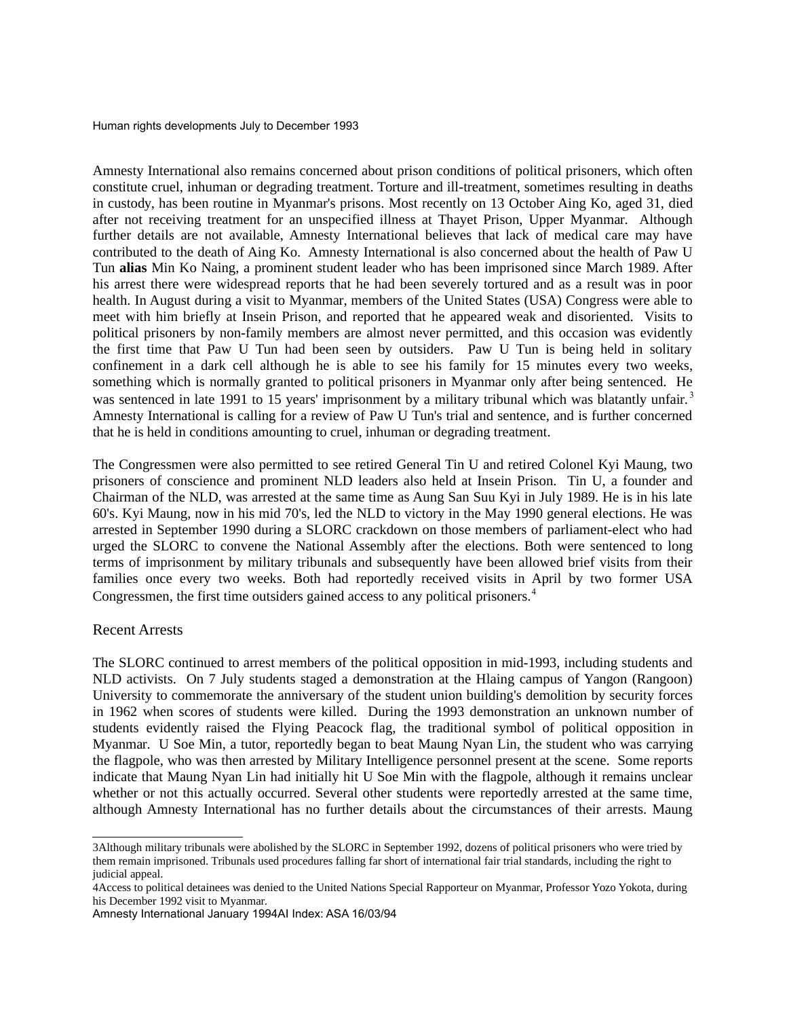Amnesty International also remains concerned about prison conditions of political prisoners, which often constitute cruel, inhuman or degrading treatment. Torture and ill-treatment, sometimes resulting in deaths in custody, has been routine in Myanmar's prisons. Most recently on 13 October Aing Ko, aged 31, died after not receiving treatment for an unspecified illness at Thayet Prison, Upper Myanmar. Although further details are not available, Amnesty International believes that lack of medical care may have contributed to the death of Aing Ko. Amnesty International is also concerned about the health of Paw U Tun **alias** Min Ko Naing, a prominent student leader who has been imprisoned since March 1989. After his arrest there were widespread reports that he had been severely tortured and as a result was in poor health. In August during a visit to Myanmar, members of the United States (USA) Congress were able to meet with him briefly at Insein Prison, and reported that he appeared weak and disoriented. Visits to political prisoners by non-family members are almost never permitted, and this occasion was evidently the first time that Paw U Tun had been seen by outsiders. Paw U Tun is being held in solitary confinement in a dark cell although he is able to see his family for 15 minutes every two weeks, something which is normally granted to political prisoners in Myanmar only after being sentenced. He was sentenced in late 1991 to 15 years' imprisonment by a military tribunal which was blatantly unfair.<sup>[3](#page-4-0)</sup> Amnesty International is calling for a review of Paw U Tun's trial and sentence, and is further concerned that he is held in conditions amounting to cruel, inhuman or degrading treatment.

The Congressmen were also permitted to see retired General Tin U and retired Colonel Kyi Maung, two prisoners of conscience and prominent NLD leaders also held at Insein Prison. Tin U, a founder and Chairman of the NLD, was arrested at the same time as Aung San Suu Kyi in July 1989. He is in his late 60's. Kyi Maung, now in his mid 70's, led the NLD to victory in the May 1990 general elections. He was arrested in September 1990 during a SLORC crackdown on those members of parliament-elect who had urged the SLORC to convene the National Assembly after the elections. Both were sentenced to long terms of imprisonment by military tribunals and subsequently have been allowed brief visits from their families once every two weeks. Both had reportedly received visits in April by two former USA Congressmen, the first time outsiders gained access to any political prisoners.<sup>[4](#page-4-1)</sup>

#### Recent Arrests

The SLORC continued to arrest members of the political opposition in mid-1993, including students and NLD activists. On 7 July students staged a demonstration at the Hlaing campus of Yangon (Rangoon) University to commemorate the anniversary of the student union building's demolition by security forces in 1962 when scores of students were killed. During the 1993 demonstration an unknown number of students evidently raised the Flying Peacock flag, the traditional symbol of political opposition in Myanmar. U Soe Min, a tutor, reportedly began to beat Maung Nyan Lin, the student who was carrying the flagpole, who was then arrested by Military Intelligence personnel present at the scene. Some reports indicate that Maung Nyan Lin had initially hit U Soe Min with the flagpole, although it remains unclear whether or not this actually occurred. Several other students were reportedly arrested at the same time, although Amnesty International has no further details about the circumstances of their arrests. Maung

<span id="page-4-0"></span><sup>3</sup>Although military tribunals were abolished by the SLORC in September 1992, dozens of political prisoners who were tried by them remain imprisoned. Tribunals used procedures falling far short of international fair trial standards, including the right to judicial appeal.

<span id="page-4-1"></span><sup>4</sup>Access to political detainees was denied to the United Nations Special Rapporteur on Myanmar, Professor Yozo Yokota, during his December 1992 visit to Myanmar.

Amnesty International January 1994AI Index: ASA 16/03/94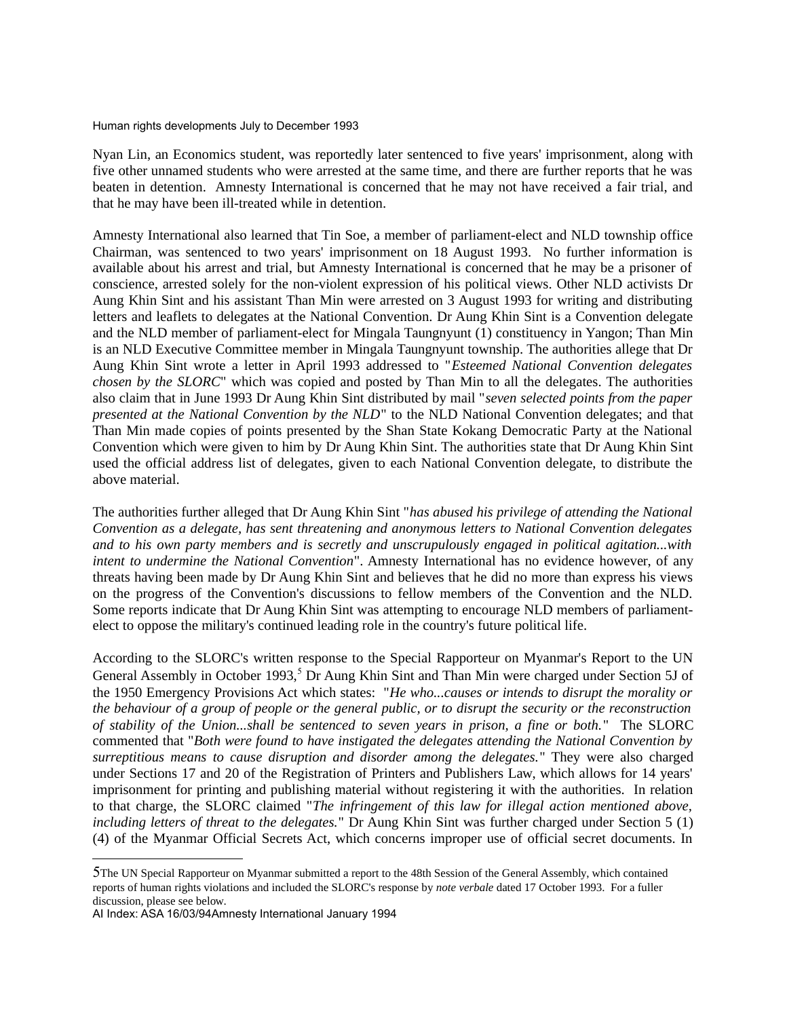Nyan Lin, an Economics student, was reportedly later sentenced to five years' imprisonment, along with five other unnamed students who were arrested at the same time, and there are further reports that he was beaten in detention. Amnesty International is concerned that he may not have received a fair trial, and that he may have been ill-treated while in detention.

Amnesty International also learned that Tin Soe, a member of parliament-elect and NLD township office Chairman, was sentenced to two years' imprisonment on 18 August 1993. No further information is available about his arrest and trial, but Amnesty International is concerned that he may be a prisoner of conscience, arrested solely for the non-violent expression of his political views. Other NLD activists Dr Aung Khin Sint and his assistant Than Min were arrested on 3 August 1993 for writing and distributing letters and leaflets to delegates at the National Convention. Dr Aung Khin Sint is a Convention delegate and the NLD member of parliament-elect for Mingala Taungnyunt (1) constituency in Yangon; Than Min is an NLD Executive Committee member in Mingala Taungnyunt township. The authorities allege that Dr Aung Khin Sint wrote a letter in April 1993 addressed to "*Esteemed National Convention delegates chosen by the SLORC*" which was copied and posted by Than Min to all the delegates. The authorities also claim that in June 1993 Dr Aung Khin Sint distributed by mail "*seven selected points from the paper presented at the National Convention by the NLD*" to the NLD National Convention delegates; and that Than Min made copies of points presented by the Shan State Kokang Democratic Party at the National Convention which were given to him by Dr Aung Khin Sint. The authorities state that Dr Aung Khin Sint used the official address list of delegates, given to each National Convention delegate, to distribute the above material.

The authorities further alleged that Dr Aung Khin Sint "*has abused his privilege of attending the National Convention as a delegate, has sent threatening and anonymous letters to National Convention delegates and to his own party members and is secretly and unscrupulously engaged in political agitation...with intent to undermine the National Convention*". Amnesty International has no evidence however, of any threats having been made by Dr Aung Khin Sint and believes that he did no more than express his views on the progress of the Convention's discussions to fellow members of the Convention and the NLD. Some reports indicate that Dr Aung Khin Sint was attempting to encourage NLD members of parliamentelect to oppose the military's continued leading role in the country's future political life.

According to the SLORC's written response to the Special Rapporteur on Myanmar's Report to the UN General Assembly in October 1993,<sup>[5](#page-5-0)</sup> Dr Aung Khin Sint and Than Min were charged under Section 5J of the 1950 Emergency Provisions Act which states: "*He who...causes or intends to disrupt the morality or the behaviour of a group of people or the general public, or to disrupt the security or the reconstruction of stability of the Union...shall be sentenced to seven years in prison, a fine or both.*" The SLORC commented that "*Both were found to have instigated the delegates attending the National Convention by surreptitious means to cause disruption and disorder among the delegates.*" They were also charged under Sections 17 and 20 of the Registration of Printers and Publishers Law, which allows for 14 years' imprisonment for printing and publishing material without registering it with the authorities. In relation to that charge, the SLORC claimed "*The infringement of this law for illegal action mentioned above, including letters of threat to the delegates.*" Dr Aung Khin Sint was further charged under Section 5 (1) (4) of the Myanmar Official Secrets Act, which concerns improper use of official secret documents. In

<span id="page-5-0"></span><sup>5</sup>The UN Special Rapporteur on Myanmar submitted a report to the 48th Session of the General Assembly, which contained reports of human rights violations and included the SLORC's response by *note verbale* dated 17 October 1993. For a fuller discussion, please see below.

AI Index: ASA 16/03/94Amnesty International January 1994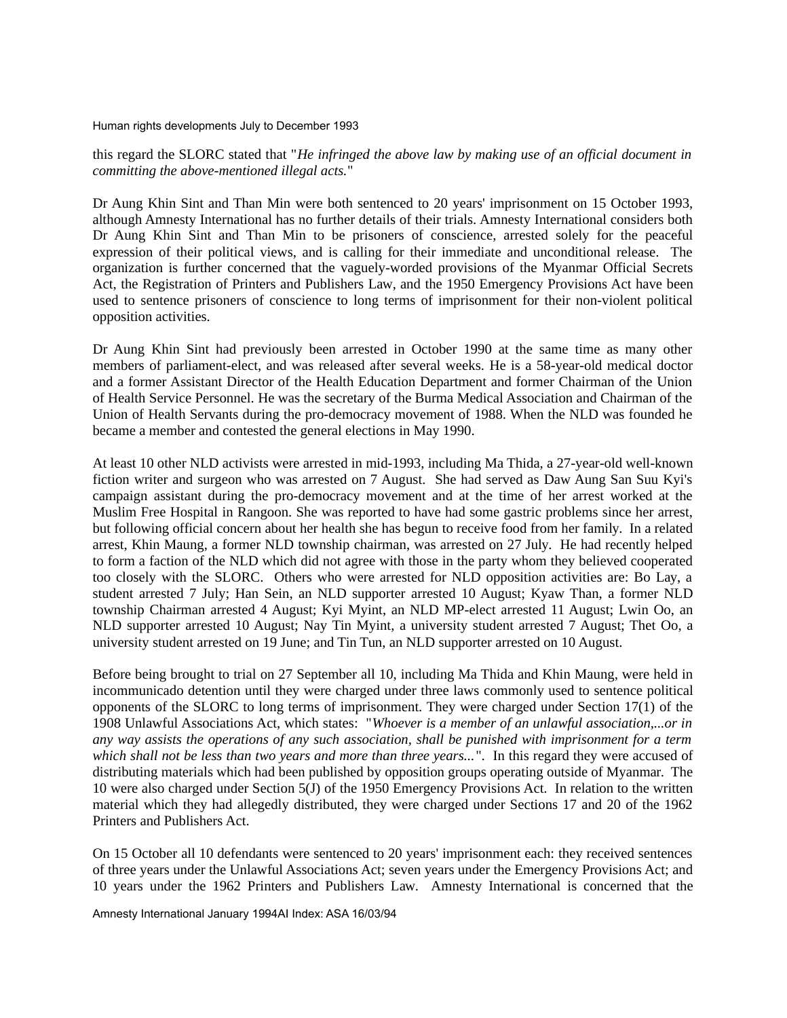this regard the SLORC stated that "*He infringed the above law by making use of an official document in committing the above-mentioned illegal acts.*"

Dr Aung Khin Sint and Than Min were both sentenced to 20 years' imprisonment on 15 October 1993, although Amnesty International has no further details of their trials. Amnesty International considers both Dr Aung Khin Sint and Than Min to be prisoners of conscience, arrested solely for the peaceful expression of their political views, and is calling for their immediate and unconditional release. The organization is further concerned that the vaguely-worded provisions of the Myanmar Official Secrets Act, the Registration of Printers and Publishers Law, and the 1950 Emergency Provisions Act have been used to sentence prisoners of conscience to long terms of imprisonment for their non-violent political opposition activities.

Dr Aung Khin Sint had previously been arrested in October 1990 at the same time as many other members of parliament-elect, and was released after several weeks. He is a 58-year-old medical doctor and a former Assistant Director of the Health Education Department and former Chairman of the Union of Health Service Personnel. He was the secretary of the Burma Medical Association and Chairman of the Union of Health Servants during the pro-democracy movement of 1988. When the NLD was founded he became a member and contested the general elections in May 1990.

At least 10 other NLD activists were arrested in mid-1993, including Ma Thida, a 27-year-old well-known fiction writer and surgeon who was arrested on 7 August. She had served as Daw Aung San Suu Kyi's campaign assistant during the pro-democracy movement and at the time of her arrest worked at the Muslim Free Hospital in Rangoon. She was reported to have had some gastric problems since her arrest, but following official concern about her health she has begun to receive food from her family. In a related arrest, Khin Maung, a former NLD township chairman, was arrested on 27 July. He had recently helped to form a faction of the NLD which did not agree with those in the party whom they believed cooperated too closely with the SLORC. Others who were arrested for NLD opposition activities are: Bo Lay, a student arrested 7 July; Han Sein, an NLD supporter arrested 10 August; Kyaw Than, a former NLD township Chairman arrested 4 August; Kyi Myint, an NLD MP-elect arrested 11 August; Lwin Oo, an NLD supporter arrested 10 August; Nay Tin Myint, a university student arrested 7 August; Thet Oo, a university student arrested on 19 June; and Tin Tun, an NLD supporter arrested on 10 August.

Before being brought to trial on 27 September all 10, including Ma Thida and Khin Maung, were held in incommunicado detention until they were charged under three laws commonly used to sentence political opponents of the SLORC to long terms of imprisonment. They were charged under Section 17(1) of the 1908 Unlawful Associations Act, which states: "*Whoever is a member of an unlawful association,...or in any way assists the operations of any such association, shall be punished with imprisonment for a term which shall not be less than two years and more than three years...*". In this regard they were accused of distributing materials which had been published by opposition groups operating outside of Myanmar. The 10 were also charged under Section 5(J) of the 1950 Emergency Provisions Act. In relation to the written material which they had allegedly distributed, they were charged under Sections 17 and 20 of the 1962 Printers and Publishers Act.

On 15 October all 10 defendants were sentenced to 20 years' imprisonment each: they received sentences of three years under the Unlawful Associations Act; seven years under the Emergency Provisions Act; and 10 years under the 1962 Printers and Publishers Law. Amnesty International is concerned that the

Amnesty International January 1994AI Index: ASA 16/03/94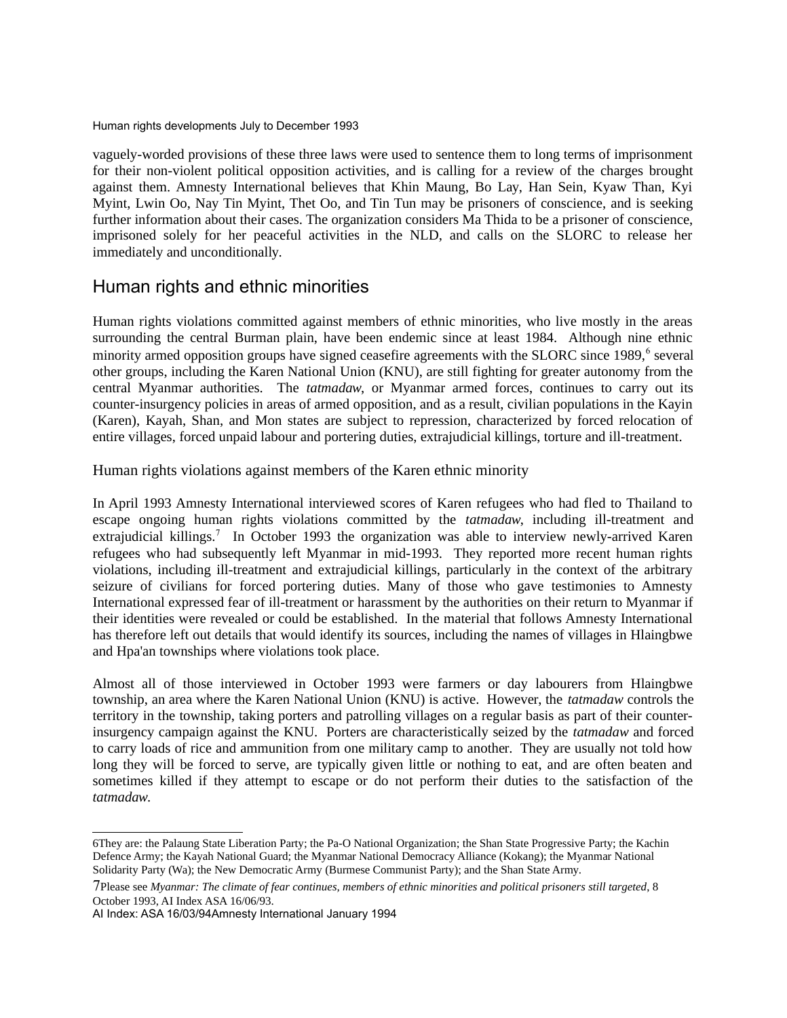vaguely-worded provisions of these three laws were used to sentence them to long terms of imprisonment for their non-violent political opposition activities, and is calling for a review of the charges brought against them. Amnesty International believes that Khin Maung, Bo Lay, Han Sein, Kyaw Than, Kyi Myint, Lwin Oo, Nay Tin Myint, Thet Oo, and Tin Tun may be prisoners of conscience, and is seeking further information about their cases. The organization considers Ma Thida to be a prisoner of conscience, imprisoned solely for her peaceful activities in the NLD, and calls on the SLORC to release her immediately and unconditionally.

#### Human rights and ethnic minorities

Human rights violations committed against members of ethnic minorities, who live mostly in the areas surrounding the central Burman plain, have been endemic since at least 1984. Although nine ethnic minority armed opposition groups have signed ceasefire agreements with the SLORC since 1989,<sup>[6](#page-7-0)</sup> several other groups, including the Karen National Union (KNU), are still fighting for greater autonomy from the central Myanmar authorities. The *tatmadaw*, or Myanmar armed forces, continues to carry out its counter-insurgency policies in areas of armed opposition, and as a result, civilian populations in the Kayin (Karen), Kayah, Shan, and Mon states are subject to repression, characterized by forced relocation of entire villages, forced unpaid labour and portering duties, extrajudicial killings, torture and ill-treatment.

Human rights violations against members of the Karen ethnic minority

In April 1993 Amnesty International interviewed scores of Karen refugees who had fled to Thailand to escape ongoing human rights violations committed by the *tatmadaw*, including ill-treatment and extrajudicial killings.<sup>[7](#page-7-1)</sup> In October 1993 the organization was able to interview newly-arrived Karen refugees who had subsequently left Myanmar in mid-1993. They reported more recent human rights violations, including ill-treatment and extrajudicial killings, particularly in the context of the arbitrary seizure of civilians for forced portering duties. Many of those who gave testimonies to Amnesty International expressed fear of ill-treatment or harassment by the authorities on their return to Myanmar if their identities were revealed or could be established. In the material that follows Amnesty International has therefore left out details that would identify its sources, including the names of villages in Hlaingbwe and Hpa'an townships where violations took place.

Almost all of those interviewed in October 1993 were farmers or day labourers from Hlaingbwe township, an area where the Karen National Union (KNU) is active. However, the *tatmadaw* controls the territory in the township, taking porters and patrolling villages on a regular basis as part of their counterinsurgency campaign against the KNU. Porters are characteristically seized by the *tatmadaw* and forced to carry loads of rice and ammunition from one military camp to another. They are usually not told how long they will be forced to serve, are typically given little or nothing to eat, and are often beaten and sometimes killed if they attempt to escape or do not perform their duties to the satisfaction of the *tatmadaw.*

<span id="page-7-0"></span><sup>6</sup>They are: the Palaung State Liberation Party; the Pa-O National Organization; the Shan State Progressive Party; the Kachin Defence Army; the Kayah National Guard; the Myanmar National Democracy Alliance (Kokang); the Myanmar National Solidarity Party (Wa); the New Democratic Army (Burmese Communist Party); and the Shan State Army.

<span id="page-7-1"></span><sup>7</sup>Please see *Myanmar: The climate of fear continues, members of ethnic minorities and political prisoners still targeted*, 8 October 1993, AI Index ASA 16/06/93.

AI Index: ASA 16/03/94Amnesty International January 1994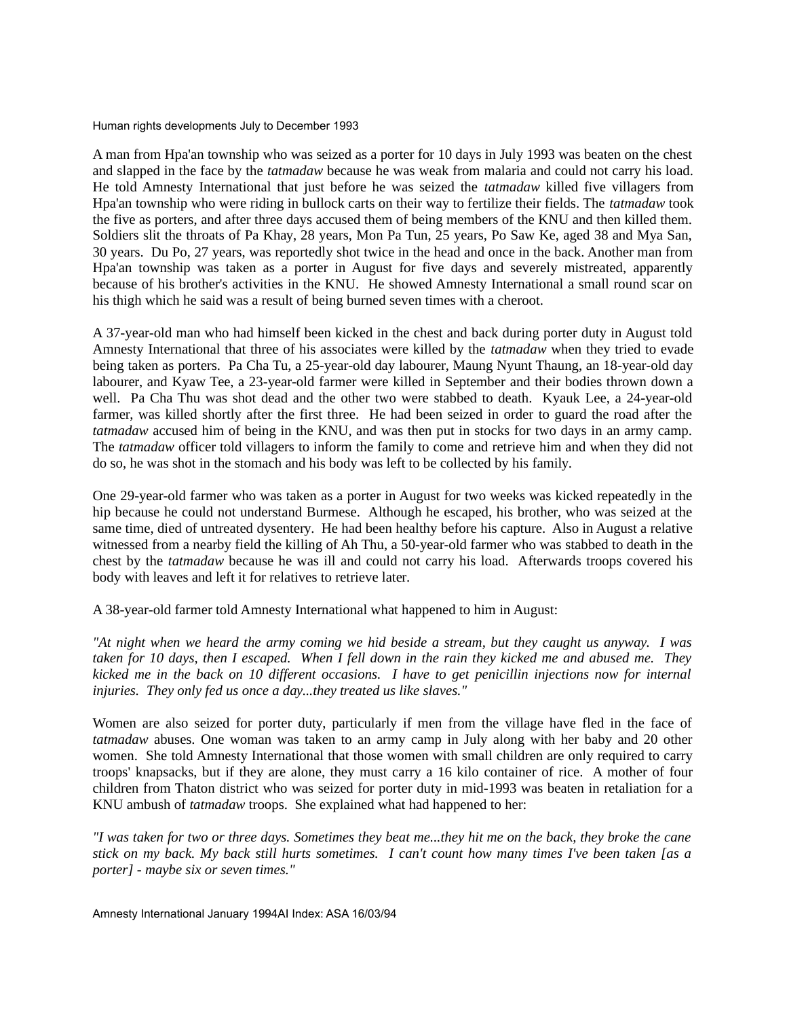A man from Hpa'an township who was seized as a porter for 10 days in July 1993 was beaten on the chest and slapped in the face by the *tatmadaw* because he was weak from malaria and could not carry his load. He told Amnesty International that just before he was seized the *tatmadaw* killed five villagers from Hpa'an township who were riding in bullock carts on their way to fertilize their fields. The *tatmadaw* took the five as porters, and after three days accused them of being members of the KNU and then killed them. Soldiers slit the throats of Pa Khay, 28 years, Mon Pa Tun, 25 years, Po Saw Ke, aged 38 and Mya San, 30 years. Du Po, 27 years, was reportedly shot twice in the head and once in the back. Another man from Hpa'an township was taken as a porter in August for five days and severely mistreated, apparently because of his brother's activities in the KNU. He showed Amnesty International a small round scar on his thigh which he said was a result of being burned seven times with a cheroot.

A 37-year-old man who had himself been kicked in the chest and back during porter duty in August told Amnesty International that three of his associates were killed by the *tatmadaw* when they tried to evade being taken as porters. Pa Cha Tu, a 25-year-old day labourer, Maung Nyunt Thaung, an 18-year-old day labourer, and Kyaw Tee, a 23-year-old farmer were killed in September and their bodies thrown down a well. Pa Cha Thu was shot dead and the other two were stabbed to death. Kyauk Lee, a 24-year-old farmer, was killed shortly after the first three. He had been seized in order to guard the road after the *tatmadaw* accused him of being in the KNU, and was then put in stocks for two days in an army camp. The *tatmadaw* officer told villagers to inform the family to come and retrieve him and when they did not do so, he was shot in the stomach and his body was left to be collected by his family.

One 29-year-old farmer who was taken as a porter in August for two weeks was kicked repeatedly in the hip because he could not understand Burmese. Although he escaped, his brother, who was seized at the same time, died of untreated dysentery. He had been healthy before his capture. Also in August a relative witnessed from a nearby field the killing of Ah Thu, a 50-year-old farmer who was stabbed to death in the chest by the *tatmadaw* because he was ill and could not carry his load. Afterwards troops covered his body with leaves and left it for relatives to retrieve later.

A 38-year-old farmer told Amnesty International what happened to him in August:

*"At night when we heard the army coming we hid beside a stream, but they caught us anyway. I was taken for 10 days, then I escaped. When I fell down in the rain they kicked me and abused me. They kicked me in the back on 10 different occasions. I have to get penicillin injections now for internal injuries. They only fed us once a day...they treated us like slaves."*

Women are also seized for porter duty, particularly if men from the village have fled in the face of *tatmadaw* abuses. One woman was taken to an army camp in July along with her baby and 20 other women. She told Amnesty International that those women with small children are only required to carry troops' knapsacks, but if they are alone, they must carry a 16 kilo container of rice. A mother of four children from Thaton district who was seized for porter duty in mid-1993 was beaten in retaliation for a KNU ambush of *tatmadaw* troops. She explained what had happened to her:

*"I was taken for two or three days. Sometimes they beat me...they hit me on the back, they broke the cane stick on my back. My back still hurts sometimes. I can't count how many times I've been taken [as a porter] - maybe six or seven times."*

Amnesty International January 1994AI Index: ASA 16/03/94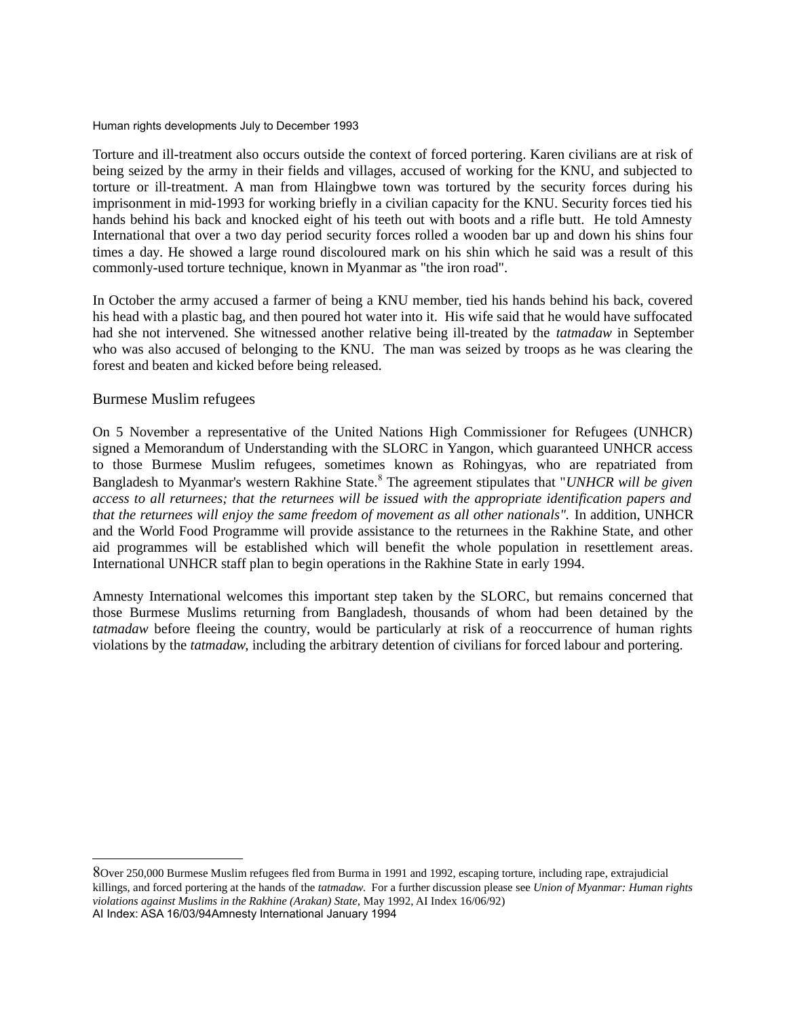Torture and ill-treatment also occurs outside the context of forced portering. Karen civilians are at risk of being seized by the army in their fields and villages, accused of working for the KNU, and subjected to torture or ill-treatment. A man from Hlaingbwe town was tortured by the security forces during his imprisonment in mid-1993 for working briefly in a civilian capacity for the KNU. Security forces tied his hands behind his back and knocked eight of his teeth out with boots and a rifle butt. He told Amnesty International that over a two day period security forces rolled a wooden bar up and down his shins four times a day. He showed a large round discoloured mark on his shin which he said was a result of this commonly-used torture technique, known in Myanmar as "the iron road".

In October the army accused a farmer of being a KNU member, tied his hands behind his back, covered his head with a plastic bag, and then poured hot water into it. His wife said that he would have suffocated had she not intervened. She witnessed another relative being ill-treated by the *tatmadaw* in September who was also accused of belonging to the KNU. The man was seized by troops as he was clearing the forest and beaten and kicked before being released.

#### Burmese Muslim refugees

On 5 November a representative of the United Nations High Commissioner for Refugees (UNHCR) signed a Memorandum of Understanding with the SLORC in Yangon, which guaranteed UNHCR access to those Burmese Muslim refugees, sometimes known as Rohingyas, who are repatriated from Bangladesh to Myanmar's western Rakhine State.<sup>[8](#page-9-0)</sup> The agreement stipulates that "*UNHCR will be given access to all returnees; that the returnees will be issued with the appropriate identification papers and that the returnees will enjoy the same freedom of movement as all other nationals".* In addition, UNHCR and the World Food Programme will provide assistance to the returnees in the Rakhine State, and other aid programmes will be established which will benefit the whole population in resettlement areas. International UNHCR staff plan to begin operations in the Rakhine State in early 1994.

Amnesty International welcomes this important step taken by the SLORC, but remains concerned that those Burmese Muslims returning from Bangladesh, thousands of whom had been detained by the *tatmadaw* before fleeing the country, would be particularly at risk of a reoccurrence of human rights violations by the *tatmadaw*, including the arbitrary detention of civilians for forced labour and portering.

<span id="page-9-0"></span>8Over 250,000 Burmese Muslim refugees fled from Burma in 1991 and 1992, escaping torture, including rape, extrajudicial killings, and forced portering at the hands of the *tatmadaw*. For a further discussion please see *Union of Myanmar: Human rights violations against Muslims in the Rakhine (Arakan) State,* May 1992, AI Index 16/06/92) AI Index: ASA 16/03/94Amnesty International January 1994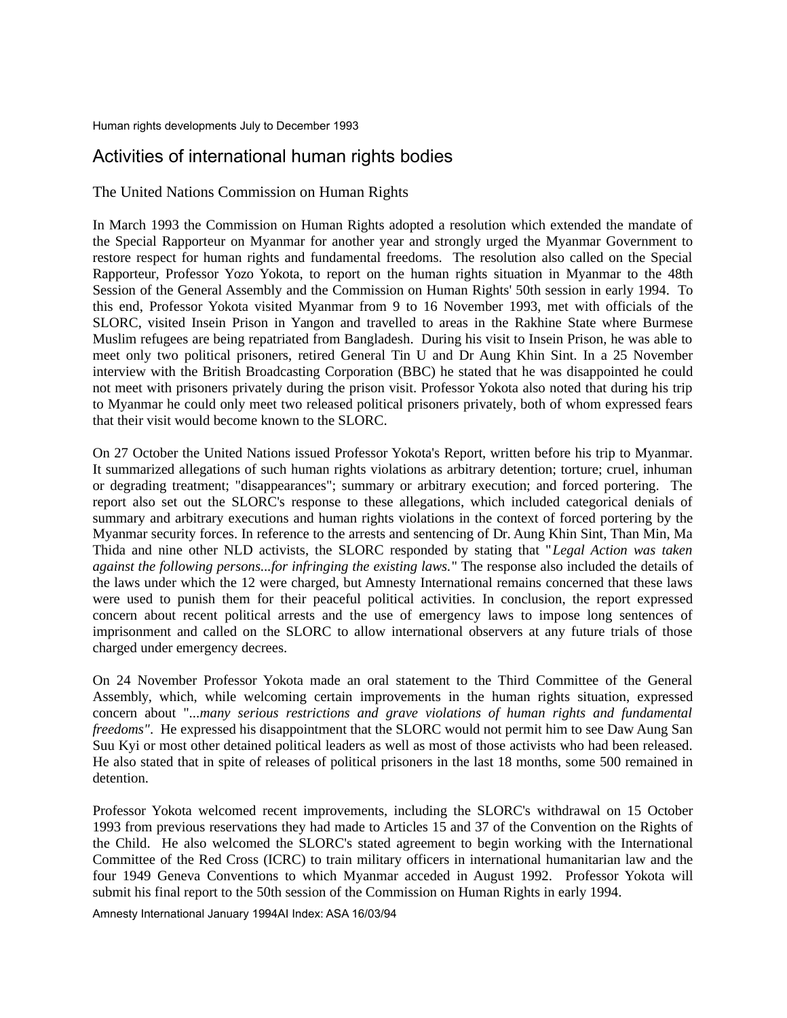## Activities of international human rights bodies

The United Nations Commission on Human Rights

In March 1993 the Commission on Human Rights adopted a resolution which extended the mandate of the Special Rapporteur on Myanmar for another year and strongly urged the Myanmar Government to restore respect for human rights and fundamental freedoms. The resolution also called on the Special Rapporteur, Professor Yozo Yokota, to report on the human rights situation in Myanmar to the 48th Session of the General Assembly and the Commission on Human Rights' 50th session in early 1994. To this end, Professor Yokota visited Myanmar from 9 to 16 November 1993, met with officials of the SLORC, visited Insein Prison in Yangon and travelled to areas in the Rakhine State where Burmese Muslim refugees are being repatriated from Bangladesh. During his visit to Insein Prison, he was able to meet only two political prisoners, retired General Tin U and Dr Aung Khin Sint. In a 25 November interview with the British Broadcasting Corporation (BBC) he stated that he was disappointed he could not meet with prisoners privately during the prison visit. Professor Yokota also noted that during his trip to Myanmar he could only meet two released political prisoners privately, both of whom expressed fears that their visit would become known to the SLORC.

On 27 October the United Nations issued Professor Yokota's Report, written before his trip to Myanmar. It summarized allegations of such human rights violations as arbitrary detention; torture; cruel, inhuman or degrading treatment; "disappearances"; summary or arbitrary execution; and forced portering. The report also set out the SLORC's response to these allegations, which included categorical denials of summary and arbitrary executions and human rights violations in the context of forced portering by the Myanmar security forces. In reference to the arrests and sentencing of Dr. Aung Khin Sint, Than Min, Ma Thida and nine other NLD activists, the SLORC responded by stating that "*Legal Action was taken against the following persons...for infringing the existing laws.*" The response also included the details of the laws under which the 12 were charged, but Amnesty International remains concerned that these laws were used to punish them for their peaceful political activities. In conclusion, the report expressed concern about recent political arrests and the use of emergency laws to impose long sentences of imprisonment and called on the SLORC to allow international observers at any future trials of those charged under emergency decrees.

On 24 November Professor Yokota made an oral statement to the Third Committee of the General Assembly, which, while welcoming certain improvements in the human rights situation, expressed concern about "*...many serious restrictions and grave violations of human rights and fundamental freedoms"*. He expressed his disappointment that the SLORC would not permit him to see Daw Aung San Suu Kyi or most other detained political leaders as well as most of those activists who had been released. He also stated that in spite of releases of political prisoners in the last 18 months, some 500 remained in detention.

Professor Yokota welcomed recent improvements, including the SLORC's withdrawal on 15 October 1993 from previous reservations they had made to Articles 15 and 37 of the Convention on the Rights of the Child. He also welcomed the SLORC's stated agreement to begin working with the International Committee of the Red Cross (ICRC) to train military officers in international humanitarian law and the four 1949 Geneva Conventions to which Myanmar acceded in August 1992. Professor Yokota will submit his final report to the 50th session of the Commission on Human Rights in early 1994.

Amnesty International January 1994AI Index: ASA 16/03/94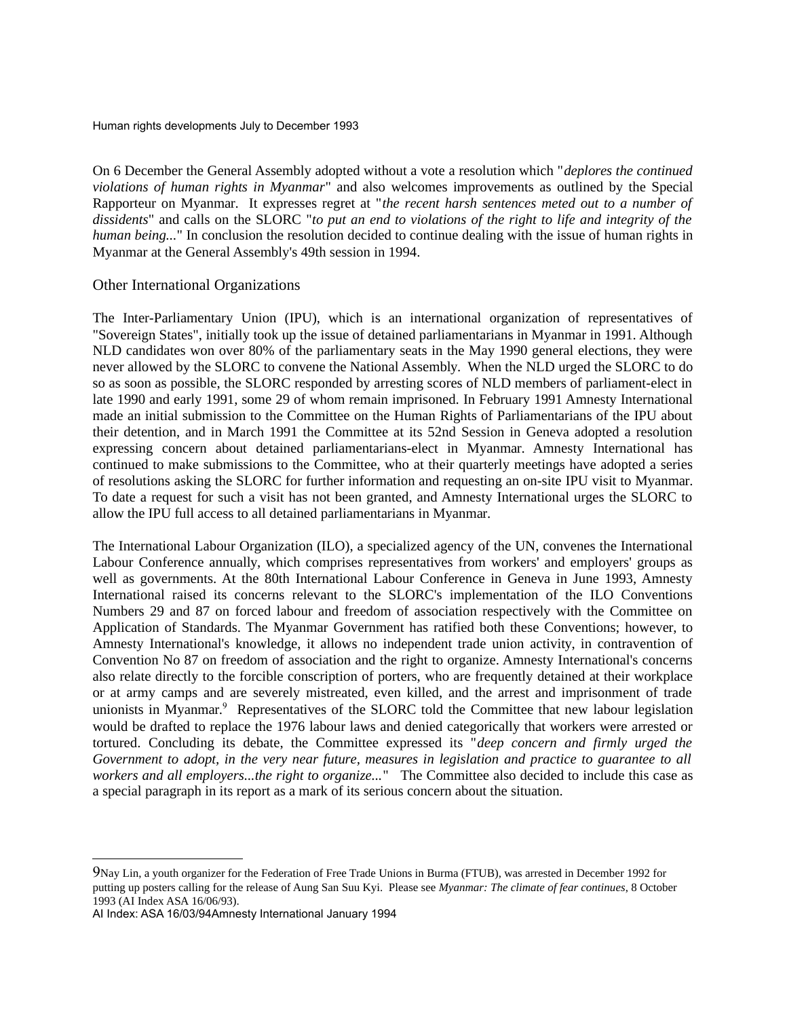On 6 December the General Assembly adopted without a vote a resolution which "*deplores the continued violations of human rights in Myanmar*" and also welcomes improvements as outlined by the Special Rapporteur on Myanmar. It expresses regret at "*the recent harsh sentences meted out to a number of dissidents*" and calls on the SLORC "*to put an end to violations of the right to life and integrity of the human being...*" In conclusion the resolution decided to continue dealing with the issue of human rights in Myanmar at the General Assembly's 49th session in 1994.

#### Other International Organizations

The Inter-Parliamentary Union (IPU), which is an international organization of representatives of "Sovereign States", initially took up the issue of detained parliamentarians in Myanmar in 1991. Although NLD candidates won over 80% of the parliamentary seats in the May 1990 general elections, they were never allowed by the SLORC to convene the National Assembly. When the NLD urged the SLORC to do so as soon as possible, the SLORC responded by arresting scores of NLD members of parliament-elect in late 1990 and early 1991, some 29 of whom remain imprisoned. In February 1991 Amnesty International made an initial submission to the Committee on the Human Rights of Parliamentarians of the IPU about their detention, and in March 1991 the Committee at its 52nd Session in Geneva adopted a resolution expressing concern about detained parliamentarians-elect in Myanmar. Amnesty International has continued to make submissions to the Committee, who at their quarterly meetings have adopted a series of resolutions asking the SLORC for further information and requesting an on-site IPU visit to Myanmar. To date a request for such a visit has not been granted, and Amnesty International urges the SLORC to allow the IPU full access to all detained parliamentarians in Myanmar.

The International Labour Organization (ILO), a specialized agency of the UN, convenes the International Labour Conference annually, which comprises representatives from workers' and employers' groups as well as governments. At the 80th International Labour Conference in Geneva in June 1993, Amnesty International raised its concerns relevant to the SLORC's implementation of the ILO Conventions Numbers 29 and 87 on forced labour and freedom of association respectively with the Committee on Application of Standards. The Myanmar Government has ratified both these Conventions; however, to Amnesty International's knowledge, it allows no independent trade union activity, in contravention of Convention No 87 on freedom of association and the right to organize. Amnesty International's concerns also relate directly to the forcible conscription of porters, who are frequently detained at their workplace or at army camps and are severely mistreated, even killed, and the arrest and imprisonment of trade unionists in Myanmar.<sup>[9](#page-11-0)</sup> Representatives of the SLORC told the Committee that new labour legislation would be drafted to replace the 1976 labour laws and denied categorically that workers were arrested or tortured. Concluding its debate, the Committee expressed its "*deep concern and firmly urged the Government to adopt, in the very near future, measures in legislation and practice to guarantee to all workers and all employers...the right to organize...*" The Committee also decided to include this case as a special paragraph in its report as a mark of its serious concern about the situation.

<span id="page-11-0"></span><sup>9</sup>Nay Lin, a youth organizer for the Federation of Free Trade Unions in Burma (FTUB), was arrested in December 1992 for putting up posters calling for the release of Aung San Suu Kyi. Please see *Myanmar: The climate of fear continues*, 8 October 1993 (AI Index ASA 16/06/93).

AI Index: ASA 16/03/94Amnesty International January 1994